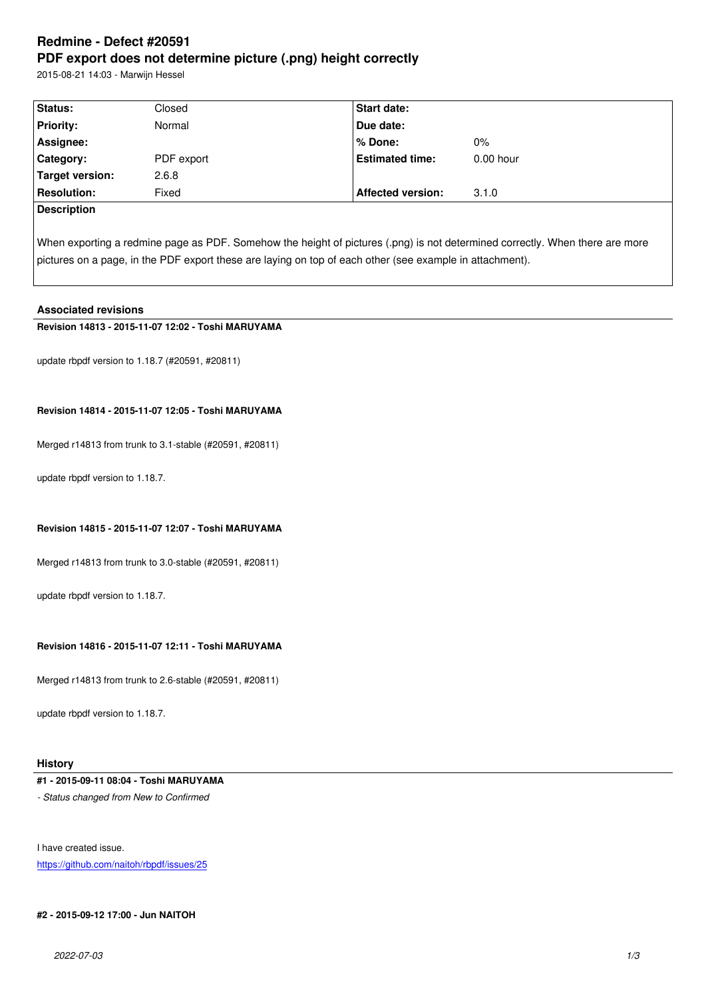#### **PDF export does not determine picture (.png) height correctly**

2015-08-21 14:03 - Marwijn Hessel

| Status:            | Closed     | <b>Start date:</b>       |             |
|--------------------|------------|--------------------------|-------------|
| <b>Priority:</b>   | Normal     | Due date:                |             |
| Assignee:          |            | % Done:                  | 0%          |
| Category:          | PDF export | <b>Estimated time:</b>   | $0.00$ hour |
| Target version:    | 2.6.8      |                          |             |
| <b>Resolution:</b> | Fixed      | <b>Affected version:</b> | 3.1.0       |
| Description        |            |                          |             |
|                    |            |                          |             |

When exporting a redmine page as PDF. Somehow the height of pictures (.png) is not determined correctly. When there are more pictures on a page, in the PDF export these are laying on top of each other (see example in attachment).

### **Associated revisions**

**Revision 14813 - 2015-11-07 12:02 - Toshi MARUYAMA**

update rbpdf version to 1.18.7 (#20591, #20811)

### **Revision 14814 - 2015-11-07 12:05 - Toshi MARUYAMA**

Merged r14813 from trunk to 3.1-stable (#20591, #20811)

update rbpdf version to 1.18.7.

### **Revision 14815 - 2015-11-07 12:07 - Toshi MARUYAMA**

Merged r14813 from trunk to 3.0-stable (#20591, #20811)

update rbpdf version to 1.18.7.

# **Revision 14816 - 2015-11-07 12:11 - Toshi MARUYAMA**

Merged r14813 from trunk to 2.6-stable (#20591, #20811)

update rbpdf version to 1.18.7.

#### **History**

# **#1 - 2015-09-11 08:04 - Toshi MARUYAMA**

*- Status changed from New to Confirmed*

I have created issue.

https://github.com/naitoh/rbpdf/issues/25

#### **[#2 - 2015-09-12 17:00 - Jun NAITOH](https://github.com/naitoh/rbpdf/issues/25)**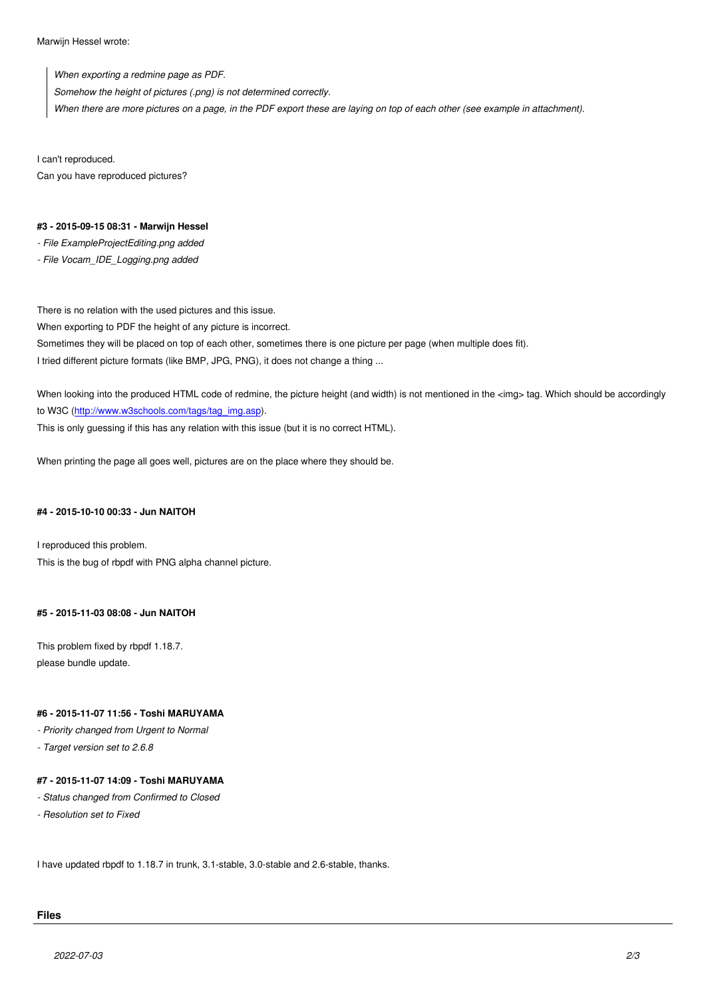*When exporting a redmine page as PDF. Somehow the height of pictures (.png) is not determined correctly. When there are more pictures on a page, in the PDF export these are laying on top of each other (see example in attachment).*

I can't reproduced. Can you have reproduced pictures?

#### **#3 - 2015-09-15 08:31 - Marwijn Hessel**

*- File ExampleProjectEditing.png added*

*- File Vocam\_IDE\_Logging.png added*

There is no relation with the used pictures and this issue.

When exporting to PDF the height of any picture is incorrect.

Sometimes they will be placed on top of each other, sometimes there is one picture per page (when multiple does fit).

I tried different picture formats (like BMP, JPG, PNG), it does not change a thing ...

When looking into the produced HTML code of redmine, the picture height (and width) is not mentioned in the <img> tag. Which should be accordingly to W3C (http://www.w3schools.com/tags/tag\_img.asp).

This is only guessing if this has any relation with this issue (but it is no correct HTML).

When pr[inting the page all goes well, pictures are on t](http://www.w3schools.com/tags/tag_img.asp)he place where they should be.

#### **#4 - 2015-10-10 00:33 - Jun NAITOH**

I reproduced this problem. This is the bug of rbpdf with PNG alpha channel picture.

#### **#5 - 2015-11-03 08:08 - Jun NAITOH**

This problem fixed by rbpdf 1.18.7. please bundle update.

#### **#6 - 2015-11-07 11:56 - Toshi MARUYAMA**

*- Priority changed from Urgent to Normal*

*- Target version set to 2.6.8*

### **#7 - 2015-11-07 14:09 - Toshi MARUYAMA**

- *Status changed from Confirmed to Closed*
- *Resolution set to Fixed*

I have updated rbpdf to 1.18.7 in trunk, 3.1-stable, 3.0-stable and 2.6-stable, thanks.

# **Files**